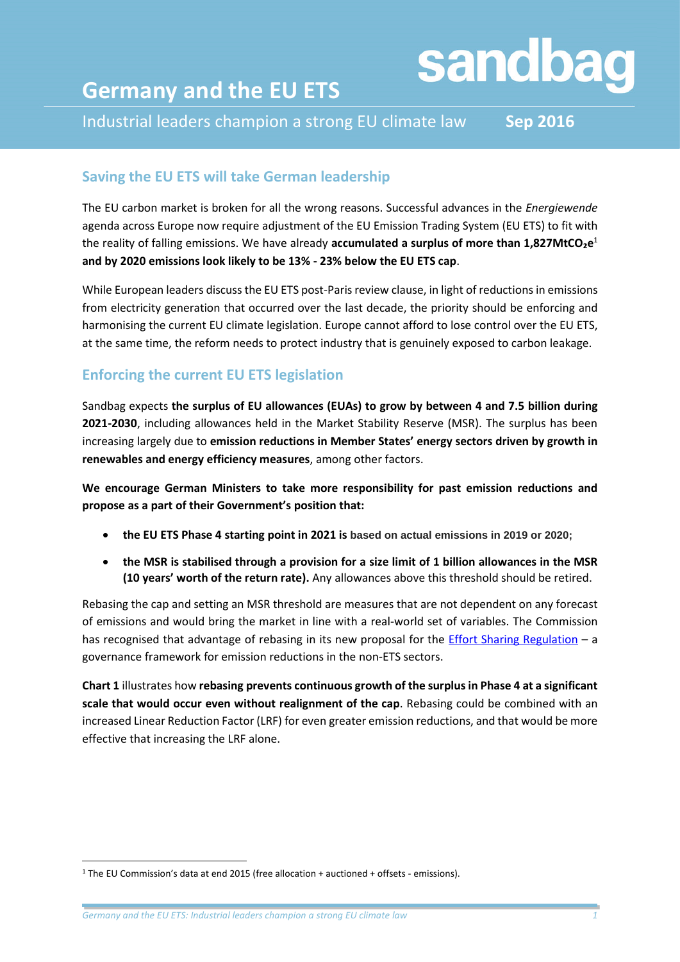# sandbag

# **Germany and the EU ETS**

Industrial leaders champion a strong EU climate law **Sep 2016**

# **Saving the EU ETS will take German leadership**

The EU carbon market is broken for all the wrong reasons. Successful advances in the *Energiewende* agenda across Europe now require adjustment of the EU Emission Trading System (EU ETS) to fit with the reality of falling emissions. We have already **accumulated a surplus of more than 1,827MtCO₂e** 1 **and by 2020 emissions look likely to be 13% - 23% below the EU ETS cap**.

While European leaders discuss the EU ETS post-Paris review clause, in light of reductions in emissions from electricity generation that occurred over the last decade, the priority should be enforcing and harmonising the current EU climate legislation. Europe cannot afford to lose control over the EU ETS, at the same time, the reform needs to protect industry that is genuinely exposed to carbon leakage.

# **Enforcing the current EU ETS legislation**

Sandbag expects **the surplus of EU allowances (EUAs) to grow by between 4 and 7.5 billion during 2021-2030**, including allowances held in the Market Stability Reserve (MSR). The surplus has been increasing largely due to **emission reductions in Member States' energy sectors driven by growth in renewables and energy efficiency measures**, among other factors.

**We encourage German Ministers to take more responsibility for past emission reductions and propose as a part of their Government's position that:**

- **the EU ETS Phase 4 starting point in 2021 is based on actual emissions in 2019 or 2020;**
- **the MSR is stabilised through a provision for a size limit of 1 billion allowances in the MSR (10 years' worth of the return rate).** Any allowances above this threshold should be retired.

Rebasing the cap and setting an MSR threshold are measures that are not dependent on any forecast of emissions and would bring the market in line with a real-world set of variables. The Commission has recognised that advantage of rebasing in its new proposal for the [Effort Sharing Regulation](http://eur-lex.europa.eu/legal-content/EN/TXT/?uri=CELEX:52016PC0482) – a governance framework for emission reductions in the non-ETS sectors.

**Chart 1** illustrates how **rebasing prevents continuous growth of the surplusin Phase 4 at a significant scale that would occur even without realignment of the cap**. Rebasing could be combined with an increased Linear Reduction Factor (LRF) for even greater emission reductions, and that would be more effective that increasing the LRF alone.

**.** 

<sup>1</sup> The EU Commission's data at end 2015 (free allocation + auctioned + offsets - emissions).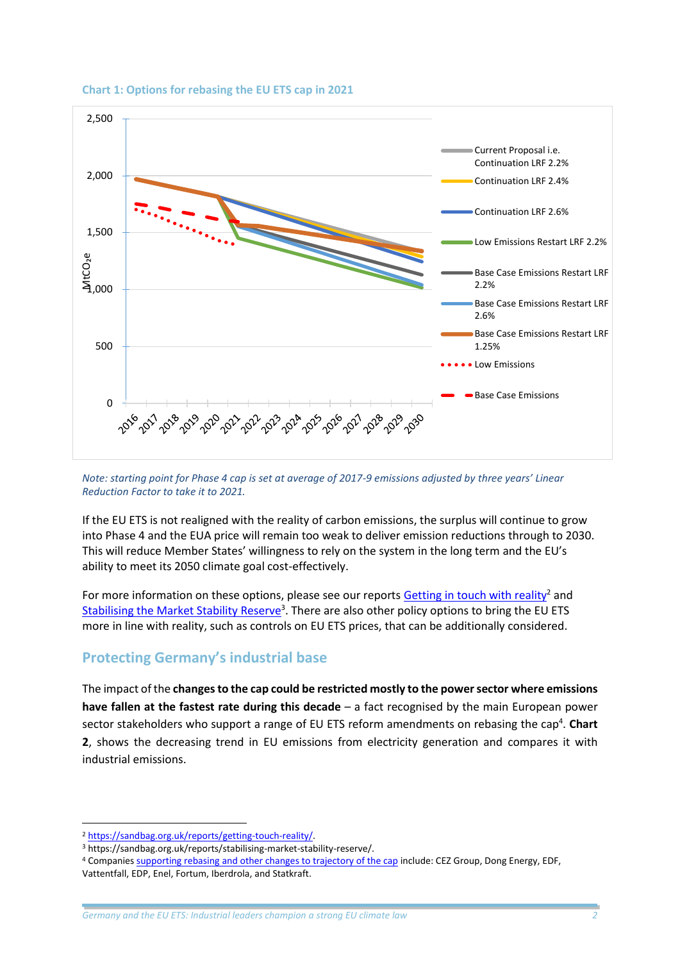

#### **Chart 1: Options for rebasing the EU ETS cap in 2021**

*Note: starting point for Phase 4 cap is set at average of 2017-9 emissions adjusted by three years' Linear Reduction Factor to take it to 2021.*

If the EU ETS is not realigned with the reality of carbon emissions, the surplus will continue to grow into Phase 4 and the EUA price will remain too weak to deliver emission reductions through to 2030. This will reduce Member States' willingness to rely on the system in the long term and the EU's ability to meet its 2050 climate goal cost-effectively.

For more information on these options, please see our reports [Getting in touch with reality](https://sandbag.org.uk/reports/getting-touch-reality/)<sup>2</sup> and [Stabilising the Market Stability Reserve](https://sandbag.org.uk/reports/stabilising-market-stability-reserve/)<sup>3</sup>. There are also other policy options to bring the EU ETS more in line with reality, such as controls on EU ETS prices, that can be additionally considered.

#### **Protecting Germany's industrial base**

The impact of the **changesto the cap could be restricted mostly to the power sector where emissions have fallen at the fastest rate during this decade** – a fact recognised by the main European power sector stakeholders who support a range of EU ETS reform amendments on rebasing the cap<sup>4</sup>. Chart **2**, shows the decreasing trend in EU emissions from electricity generation and compares it with industrial emissions.

1

<sup>2</sup> [https://sandbag.org.uk/reports/getting-touch-reality/.](https://sandbag.org.uk/reports/getting-touch-reality/)

<sup>3</sup> https://sandbag.org.uk/reports/stabilising-market-stability-reserve/.

<sup>4</sup> Companie[s supporting rebasing and other changes to trajectory of the cap](http://www.politico.eu/wp-content/uploads/2016/06/ETS-electric-sector-wake-up-call-.-final-f.pdf) include: CEZ Group, Dong Energy, EDF, Vattentfall, EDP, Enel, Fortum, Iberdrola, and Statkraft.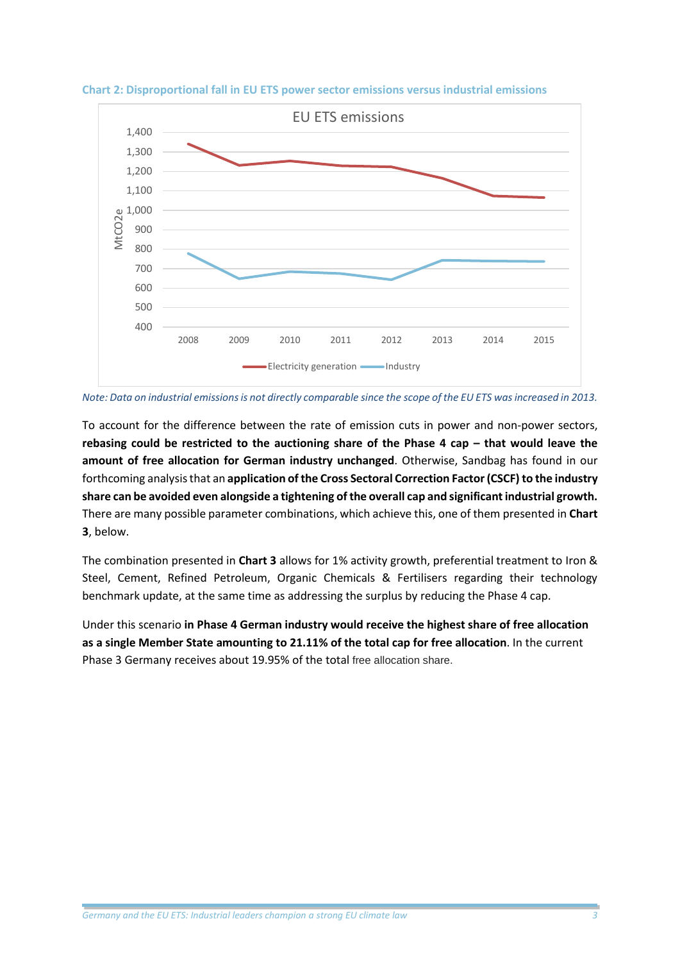



*Note: Data on industrial emissions is not directly comparable since the scope of the EU ETS was increased in 2013.*

To account for the difference between the rate of emission cuts in power and non-power sectors, **rebasing could be restricted to the auctioning share of the Phase 4 cap – that would leave the amount of free allocation for German industry unchanged**. Otherwise, Sandbag has found in our forthcoming analysis that an **application of the Cross Sectoral Correction Factor (CSCF) to the industry share can be avoided even alongside a tightening ofthe overall cap and significant industrial growth.** There are many possible parameter combinations, which achieve this, one of them presented in **Chart 3**, below.

The combination presented in **Chart 3** allows for 1% activity growth, preferential treatment to Iron & Steel, Cement, Refined Petroleum, Organic Chemicals & Fertilisers regarding their technology benchmark update, at the same time as addressing the surplus by reducing the Phase 4 cap.

Under this scenario **in Phase 4 German industry would receive the highest share of free allocation as a single Member State amounting to 21.11% of the total cap for free allocation**. In the current Phase 3 Germany receives about 19.95% of the total free allocation share.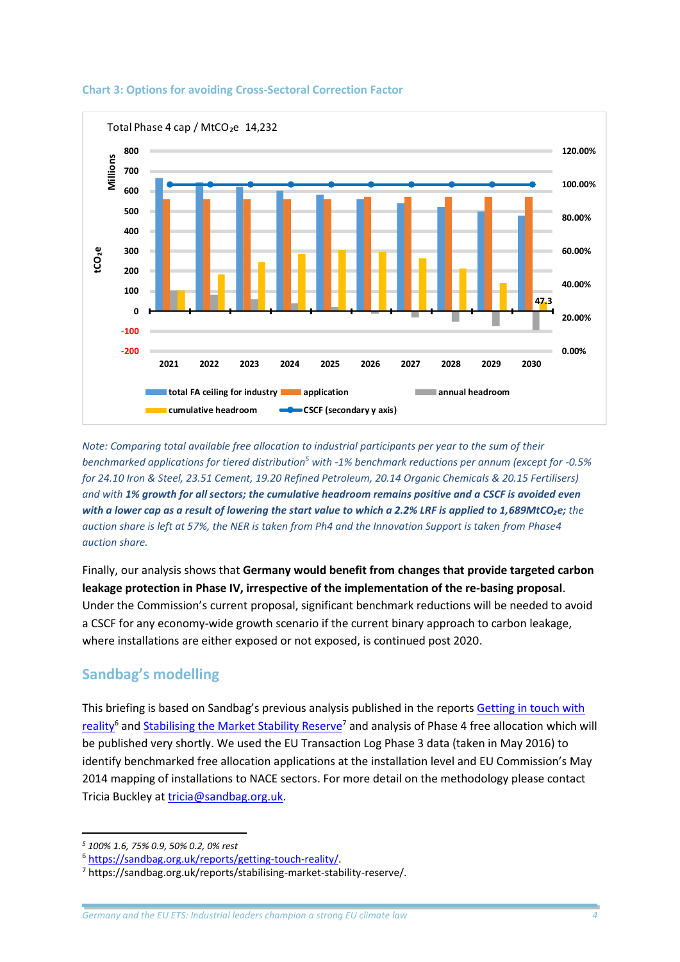

#### **Chart 3: Options for avoiding Cross-Sectoral Correction Factor**

*Note: Comparing total available free allocation to industrial participants per year to the sum of their benchmarked applications for tiered distribution<sup>5</sup> with -1% benchmark reductions per annum (except for -0.5% for 24.10 Iron & Steel, 23.51 Cement, 19.20 Refined Petroleum, 20.14 Organic Chemicals & 20.15 Fertilisers) and with 1% growth for all sectors; the cumulative headroom remains positive and a CSCF is avoided even with a lower cap as a result of lowering the start value to which a 2.2% LRF is applied to 1,689MtCO₂e; the auction share is left at 57%, the NER is taken from Ph4 and the Innovation Support is taken from Phase4 auction share.*

Finally, our analysis shows that **Germany would benefit from changes that provide targeted carbon leakage protection in Phase IV, irrespective of the implementation of the re-basing proposal**. Under the Commission's current proposal, significant benchmark reductions will be needed to avoid a CSCF for any economy-wide growth scenario if the current binary approach to carbon leakage, where installations are either exposed or not exposed, is continued post 2020.

## **Sandbag's modelling**

This briefing is based on Sandbag's previous analysis published in the report[s Getting in touch with](https://sandbag.org.uk/reports/getting-touch-reality/)  [reality](https://sandbag.org.uk/reports/getting-touch-reality/)<sup>6</sup> an[d Stabilising the Market Stability Reserve](https://sandbag.org.uk/reports/stabilising-market-stability-reserve/)<sup>7</sup> and analysis of Phase 4 free allocation which will be published very shortly. We used the EU Transaction Log Phase 3 data (taken in May 2016) to identify benchmarked free allocation applications at the installation level and EU Commission's May 2014 mapping of installations to NACE sectors. For more detail on the methodology please contact Tricia Buckley at [tricia@sandbag.org.uk.](mailto:tricia@sandbag.org.uk)

**<sup>.</sup>** *<sup>5</sup> 100% 1.6, 75% 0.9, 50% 0.2, 0% rest*

<sup>6</sup> [https://sandbag.org.uk/reports/getting-touch-reality/.](https://sandbag.org.uk/reports/getting-touch-reality/)

<sup>7</sup> https://sandbag.org.uk/reports/stabilising-market-stability-reserve/.